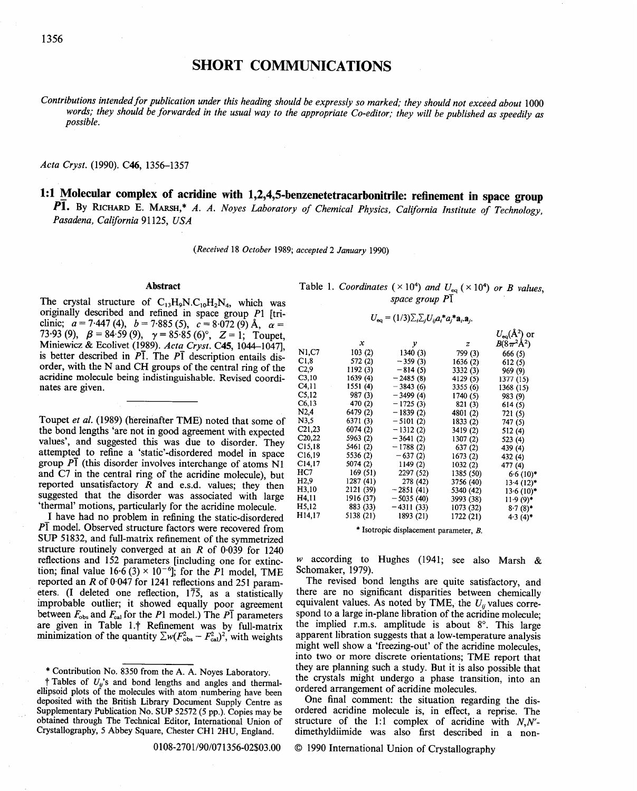# **SHORT COMMUNICATIONS**

Contributions intended for publication under this heading should be expressly so marked; they should not exceed about 1000 *words; they should be forwarded in the usual way to the appropriate Co-editor; they will be published as speedily as possible.* 

Acta Cryst. (1990). C46, 1356-1357

**1:1 Molecular complex of acridine with 1,2,4,5-benzenetetracarbonitrile: refinement in space group** P1. By RICHARD E. MARSH,\* *A. A. Noyes Laboratory of Chemical Physics, California Institute of Technology, Pasadena, California* 91125, *USA* 

*(Received* 18 *October* 1989; *accepted 2 January* 1990)

# **Abstract**

The crystal structure of  $C_{13}H_9N.C_{10}H_2N_4$ , which was originally described and refined in space group P1 [triclinic;  $a = 7.447$  (4),  $b = 7.885$  (5),  $c = 8.072$  (9) Å,  $\alpha =$ 73.93 (9),  $\beta = 84.59$  (9),  $\gamma = 85.85$  (6)°,  $Z = 1$ ; Toupet, Miniewicz & Ecolivet (1989). *Acta Cryst.* C45, 1044-1047], is better described in  $P\overline{1}$ . The  $P\overline{1}$  description entails disorder, with the N and CH groups of the central ring of the acridine molecule being indistinguishable. Revised coordinates are given.

Toupet *et al.* (1989) (hereinafter TME) noted that some of the bond lengths 'are not in good agreement with expected values', and suggested this was due to disorder. They attempted to refine a 'static'-disordered model in space group  $\overline{P}$ <sup>1</sup> (this disorder involves interchange of atoms N1 and C7 in the central ring of the acridine molecule), but reported unsatisfactory  $R$  and e.s.d. values; they then suggested that the disorder was associated with large 'thermal' motions, particularly for the acridine molecule.

I have had no problem in refining the static-disordered  $P\bar{I}$  model. Observed structure factors were recovered from SUP 51832, and full-matrix refinement of the symmetrized structure routinely converged at an  $R$  of 0.039 for 1240 reflections and 152 parameters [including one for extinction; final value  $16.\overline{6}$  (3) ×  $10^{-6}$ ]; for the P1 model, TME reported an R of 0.047 for 1241 reflections and 251 parameters. (I deleted one reflection, 175, as a statistically improbable outlier; it showed equally poor agreement between  $F_{obs}$  and  $F_{cal}$  for the P1 model.) The P1 parameters are given in Table 1.<sup>†</sup> Refinement was by full-matrix minimization of the quantity  $\sum w(F_{obs}^2 - F_{cal}^2)^2$ , with weights

\* Contribution No. 8350 from the A. A. Noyes Laboratory;

 $\dagger$  Tables of  $U_{ij}$ 's and bond lengths and angles and thermalellipsoid plots of the molecules with atom numbering have been deposited with the British Library Document Supply Centre as Supplementary Publication No. SUP 52572 (5 pp.). Copies may be obtained through The Technical Editor, International Union of Crystallography, 5 Abbey Square, Chester CH1 2HU, England.

Table 1. *Coordinates* ( $\times$ 10<sup>4</sup>) *and*  $U_{eq}$  ( $\times$ 10<sup>4</sup>) *or B values*, *space group P1* 

$$
U_{\text{eq}} = (1/3) \Sigma_i \Sigma_j U_{ij} a_i^* a_j^* a_i \mathbf{a}_i.
$$

|                   | $\boldsymbol{x}$ | у           | z         | $U_{eq}(\AA^2)$ or<br>$B(8\pi^2\text{\AA}^2)$ |
|-------------------|------------------|-------------|-----------|-----------------------------------------------|
| N1,C7             | 103(2)           | 1340(3)     | 799 (3)   | 666(5)                                        |
| C <sub>1,8</sub>  | 572 (2)          | $-359(3)$   |           |                                               |
|                   |                  |             | 1636 (2)  | 612(5)                                        |
| C <sub>2,9</sub>  | 1192 (3)         | $-814(5)$   | 3332 (3)  | 969 (9)                                       |
| C3,10             | 1639 (4)         | $-2485(8)$  | 4129(5)   | 1377 (15)                                     |
| C <sub>4,11</sub> | 1551 (4)         | $-3843(6)$  | 3355 (6)  | 1368 (15)                                     |
| C <sub>5,12</sub> | 987 (3)          | $-3499(4)$  | 1740 (5)  | 983 (9)                                       |
| C6,13             | 470 (2)          | $-1725(3)$  | 821 (3)   | 614(5)                                        |
| N2,4              | 6479 (2)         | $-1839(2)$  | 4801 (2)  | 721 (5)                                       |
| N3,5              | 6371 (3)         | $-5101(2)$  | 1833 (2)  | 747(5)                                        |
| C21,23            | 6074 (2)         | $-1312(2)$  | 3419 (2)  | 512(4)                                        |
| C20,22            | 5963 (2)         | $-3641(2)$  | 1307(2)   | 523 (4)                                       |
| C15,18            | 5461 (2)         | $-1788(2)$  | 637(2)    | 439 (4)                                       |
| C16,19            | 5536 (2)         | $-637(2)$   | 1673 (2)  | 432 (4)                                       |
| C14, 17           | 5074 (2)         | 1149 (2)    | 1032(2)   | 477 (4)                                       |
| HC7               | 169(51)          | 2297 (52)   | 1385 (50) | $6.6(10)*$                                    |
| H2.9              | 1287 (41)        | 278 (42)    | 3756 (40) | $13.4(12)$ *                                  |
| H3.10             | 2121 (39)        | $-2851(41)$ | 5340 (42) | $13.6(10)$ *                                  |
| H4,11             | 1916 (37)        | $-5035(40)$ | 3993 (38) | $11.9(9)$ *                                   |
| H5,12             | 883 (33)         | $-4311(33)$ | 1073 (32) | $8.7(8)$ *                                    |
| H14.17            | 5138 (21)        | 1893 (21)   | 1722 (21) | $4.3(4)$ *                                    |
|                   |                  |             |           |                                               |

\* Isotropic displacement parameter, B.

w according to Hughes (1941; see also Marsh  $\&$ Schomaker, 1979).

The revised bond lengths are quite satisfactory, and there are no significant disparities between chemically equivalent values. As noted by TME, the  $U_{ij}$  values correspond to a large in-plane libration of the acridine molecule; the implied r.m.s. amplitude is about  $8^\circ$ . This large apparent libration suggests that a low-temperature analysis might well show a 'freezing-out' of the acridine molecules, into two or more discrete orientations; TME report that they are planning such a study. But it is also possible that the crystals might undergo a phase transition, into an ordered arrangement of acridine molecules.

One final comment: the situation regarding the disordered acridine molecule is, in effect, a reprise. The structure of the 1:1 complex of acridine with *N,N'*  dimethyldiimide was also first described in a non-

0108-2701/90/071356-02503.00 © 1990 International Union of Crystallography